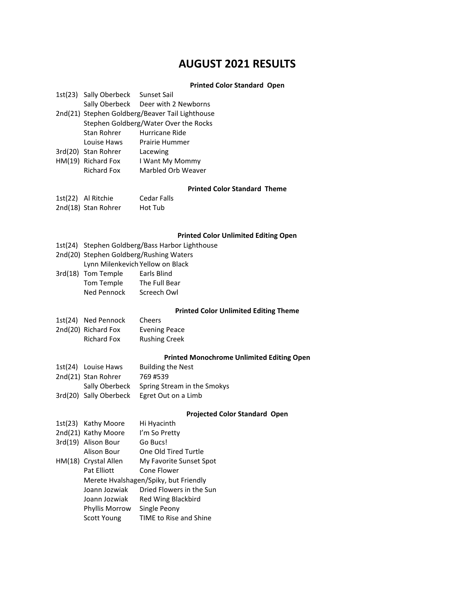# **AUGUST 2021 RESULTS**

## **Printed Color Standard Open**

|                           | 1st(23) Sally Oberbeck<br>Sally Oberbeck                                                 | Sunset Sail<br>Deer with 2 Newborns              |  |  |
|---------------------------|------------------------------------------------------------------------------------------|--------------------------------------------------|--|--|
|                           |                                                                                          |                                                  |  |  |
|                           | 2nd(21) Stephen Goldberg/Beaver Tail Lighthouse<br>Stephen Goldberg/Water Over the Rocks |                                                  |  |  |
|                           | <b>Stan Rohrer</b>                                                                       | Hurricane Ride                                   |  |  |
|                           | Louise Haws                                                                              | Prairie Hummer                                   |  |  |
|                           |                                                                                          |                                                  |  |  |
|                           | 3rd(20) Stan Rohrer                                                                      | Lacewing                                         |  |  |
|                           | HM(19) Richard Fox                                                                       | I Want My Mommy                                  |  |  |
|                           | <b>Richard Fox</b>                                                                       | Marbled Orb Weaver                               |  |  |
|                           |                                                                                          | <b>Printed Color Standard Theme</b>              |  |  |
|                           | 1st(22) Al Ritchie                                                                       | <b>Cedar Falls</b>                               |  |  |
|                           | 2nd(18) Stan Rohrer                                                                      | Hot Tub                                          |  |  |
|                           |                                                                                          |                                                  |  |  |
|                           |                                                                                          | <b>Printed Color Unlimited Editing Open</b>      |  |  |
|                           |                                                                                          | 1st(24) Stephen Goldberg/Bass Harbor Lighthouse  |  |  |
|                           |                                                                                          | 2nd(20) Stephen Goldberg/Rushing Waters          |  |  |
|                           | Lynn Milenkevich Yellow on Black                                                         |                                                  |  |  |
|                           | 3rd(18) Tom Temple                                                                       | Earls Blind                                      |  |  |
|                           | Tom Temple                                                                               | The Full Bear                                    |  |  |
|                           | Ned Pennock                                                                              | Screech Owl                                      |  |  |
|                           |                                                                                          | <b>Printed Color Unlimited Editing Theme</b>     |  |  |
|                           | 1st(24) Ned Pennock                                                                      | Cheers                                           |  |  |
|                           | 2nd(20) Richard Fox                                                                      | <b>Evening Peace</b>                             |  |  |
|                           | <b>Richard Fox</b>                                                                       | <b>Rushing Creek</b>                             |  |  |
|                           |                                                                                          | <b>Printed Monochrome Unlimited Editing Open</b> |  |  |
|                           | 1st(24) Louise Haws                                                                      | <b>Building the Nest</b>                         |  |  |
|                           | 2nd(21) Stan Rohrer                                                                      | 769 #539                                         |  |  |
|                           | Sally Oberbeck                                                                           | Spring Stream in the Smokys                      |  |  |
|                           | 3rd(20) Sally Oberbeck                                                                   | Egret Out on a Limb                              |  |  |
|                           |                                                                                          | <b>Projected Color Standard Open</b>             |  |  |
|                           | 1st(23) Kathy Moore                                                                      | Hi Hyacinth                                      |  |  |
|                           | 2nd(21) Kathy Moore                                                                      | I'm So Pretty                                    |  |  |
| $\mathbf{1}$ $\mathbf{1}$ |                                                                                          |                                                  |  |  |

| 2nd(21) Kathy Moore                   | I'm So Pretty            |  |
|---------------------------------------|--------------------------|--|
| 3rd(19) Alison Bour                   | Go Bucs!                 |  |
| Alison Bour                           | One Old Tired Turtle     |  |
| HM(18) Crystal Allen                  | My Favorite Sunset Spot  |  |
| Pat Elliott                           | Cone Flower              |  |
| Merete Hyalshagen/Spiky, but Friendly |                          |  |
| Joann Jozwiak                         | Dried Flowers in the Sun |  |
| Joann Jozwiak                         | Red Wing Blackbird       |  |
| Phyllis Morrow                        | Single Peony             |  |
| Scott Young                           | TIME to Rise and Shine   |  |
|                                       |                          |  |